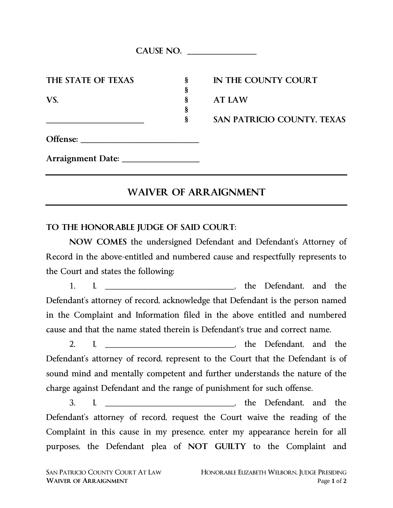|                    | CAUSE NO. |                            |
|--------------------|-----------|----------------------------|
| THE STATE OF TEXAS | §         | IN THE COUNTY COURT        |
|                    | §         |                            |
| VS.                | ş<br>§    | <b>AT LAW</b>              |
|                    | §         | SAN PATRICIO COUNTY, TEXAS |
|                    |           |                            |
|                    |           |                            |

# **WAIVER OF ARRAIGNMENT**

### **TO THE HONORABLE JUDGE OF SAID COURT**:

**NOW COMES** the undersigned Defendant and Defendant's Attorney of Record in the above-entitled and numbered cause and respectfully represents to the Court and states the following:

1. I, he Defendant, and the Defendant's attorney of record, acknowledge that Defendant is the person named in the Complaint and Information filed in the above entitled and numbered cause and that the name stated therein is Defendant's true and correct name.

2. I, \_\_\_\_\_\_\_\_\_\_\_\_\_\_\_\_\_\_\_\_\_\_\_\_\_\_\_\_, the Defendant, and the Defendant's attorney of record, represent to the Court that the Defendant is of sound mind and mentally competent and further understands the nature of the charge against Defendant and the range of punishment for such offense.

3. I, the Defendant, and the Defendant's attorney of record, request the Court waive the reading of the Complaint in this cause in my presence, enter my appearance herein for all purposes, the Defendant plea of **NOT GUILTY** to the Complaint and